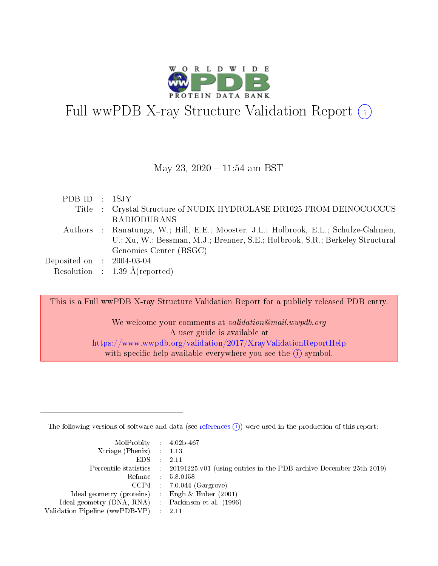

# Full wwPDB X-ray Structure Validation Report (i)

#### May 23, 2020 - 11:54 am BST

| PDB ID : 1SJY               |                                                                                     |
|-----------------------------|-------------------------------------------------------------------------------------|
|                             | Title : Crystal Structure of NUDIX HYDROLASE DR1025 FROM DEINOCOCCUS                |
|                             | <b>RADIODURANS</b>                                                                  |
|                             | Authors : Ranatunga, W.; Hill, E.E.; Mooster, J.L.; Holbrook, E.L.; Schulze-Gahmen, |
|                             | U.; Xu, W.; Bessman, M.J.; Brenner, S.E.; Holbrook, S.R.; Berkeley Structural       |
|                             | Genomics Center (BSGC)                                                              |
| Deposited on : $2004-03-04$ |                                                                                     |
|                             | Resolution : $1.39 \text{ Å}$ (reported)                                            |

This is a Full wwPDB X-ray Structure Validation Report for a publicly released PDB entry.

We welcome your comments at *validation@mail.wwpdb.org* A user guide is available at <https://www.wwpdb.org/validation/2017/XrayValidationReportHelp> with specific help available everywhere you see the  $(i)$  symbol.

The following versions of software and data (see [references](https://www.wwpdb.org/validation/2017/XrayValidationReportHelp#references)  $(i)$ ) were used in the production of this report:

| $MolProbability$ 4.02b-467<br>Xtriage (Phenix) $: 1.13$ |                                                                                                     |
|---------------------------------------------------------|-----------------------------------------------------------------------------------------------------|
| $EDS$ :                                                 | -2.11<br>Percentile statistics : 20191225.v01 (using entries in the PDB archive December 25th 2019) |
|                                                         | Refmac : 5.8.0158                                                                                   |
|                                                         | $CCP4$ : 7.0.044 (Gargrove)                                                                         |
| Ideal geometry (proteins) : Engh $\&$ Huber (2001)      |                                                                                                     |
| Ideal geometry (DNA, RNA) : Parkinson et al. (1996)     |                                                                                                     |
| Validation Pipeline (wwPDB-VP) :                        | -2.11                                                                                               |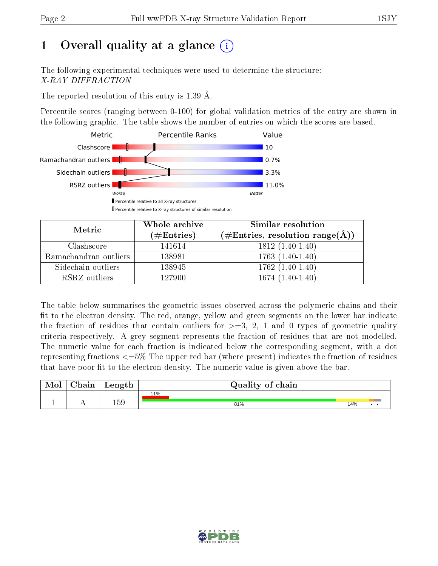# 1 [O](https://www.wwpdb.org/validation/2017/XrayValidationReportHelp#overall_quality)verall quality at a glance  $(i)$

The following experimental techniques were used to determine the structure: X-RAY DIFFRACTION

The reported resolution of this entry is 1.39 Å.

Percentile scores (ranging between 0-100) for global validation metrics of the entry are shown in the following graphic. The table shows the number of entries on which the scores are based.



| Metric                | Whole archive<br>$(\#\text{Entries})$ | Similar resolution<br>$(\#\text{Entries}, \text{resolution range}(\AA))$ |
|-----------------------|---------------------------------------|--------------------------------------------------------------------------|
| Clashscore            | 141614                                | $1812(1.40-1.40)$                                                        |
| Ramachandran outliers | 138981                                | $1763(1.40-1.40)$                                                        |
| Sidechain outliers    | 138945                                | $1762(1.40-1.40)$                                                        |
| RSRZ outliers         | 127900                                | $1674(1.40-1.40)$                                                        |

The table below summarises the geometric issues observed across the polymeric chains and their fit to the electron density. The red, orange, yellow and green segments on the lower bar indicate the fraction of residues that contain outliers for  $\geq=3$ , 2, 1 and 0 types of geometric quality criteria respectively. A grey segment represents the fraction of residues that are not modelled. The numeric value for each fraction is indicated below the corresponding segment, with a dot representing fractions <=5% The upper red bar (where present) indicates the fraction of residues that have poor fit to the electron density. The numeric value is given above the bar.

| Mol | $\alpha$ hain | Length | Quality of chain |     |
|-----|---------------|--------|------------------|-----|
|     |               |        | 11%              |     |
|     |               | 159    | 81%              | 14% |

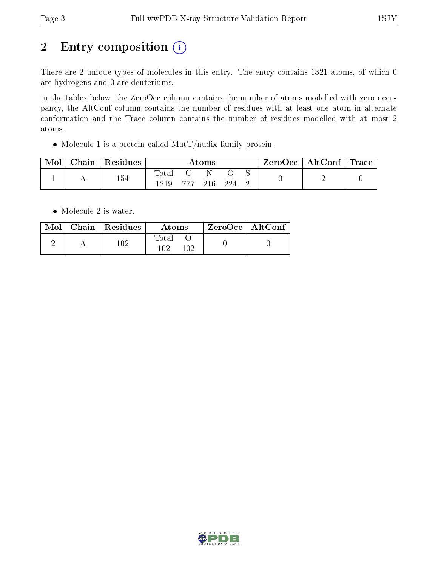# 2 Entry composition (i)

There are 2 unique types of molecules in this entry. The entry contains 1321 atoms, of which 0 are hydrogens and 0 are deuteriums.

In the tables below, the ZeroOcc column contains the number of atoms modelled with zero occupancy, the AltConf column contains the number of residues with at least one atom in alternate conformation and the Trace column contains the number of residues modelled with at most 2 atoms.

• Molecule 1 is a protein called  $\text{MutT}/\text{nudix family protein.}$ 

| Mol | Chain   Residues | $\rm{Atoms}$ |        |     |      |  | ZeroOcc   AltConf   Trace |  |
|-----|------------------|--------------|--------|-----|------|--|---------------------------|--|
|     | 154              | Total        | -777 - | 216 | -994 |  |                           |  |

• Molecule 2 is water.

|  | $\text{Mol}$   Chain   Residues | Atoms        | $ZeroOcc \mid AltConf$ |  |
|--|---------------------------------|--------------|------------------------|--|
|  | 102                             | Total<br>102 |                        |  |

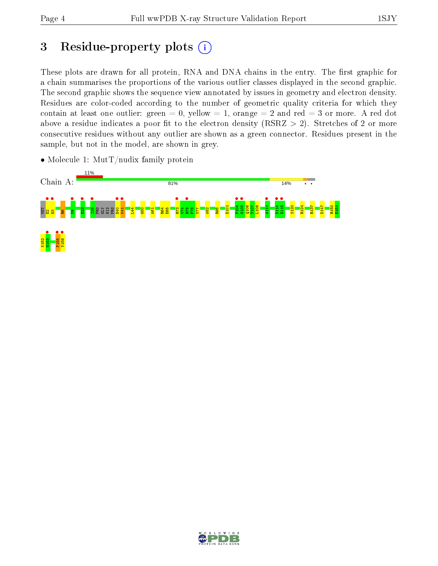# 3 Residue-property plots  $(i)$

These plots are drawn for all protein, RNA and DNA chains in the entry. The first graphic for a chain summarises the proportions of the various outlier classes displayed in the second graphic. The second graphic shows the sequence view annotated by issues in geometry and electron density. Residues are color-coded according to the number of geometric quality criteria for which they contain at least one outlier: green  $= 0$ , yellow  $= 1$ , orange  $= 2$  and red  $= 3$  or more. A red dot above a residue indicates a poor fit to the electron density (RSRZ  $> 2$ ). Stretches of 2 or more consecutive residues without any outlier are shown as a green connector. Residues present in the sample, but not in the model, are shown in grey.

• Molecule 1: MutT/nudix family protein



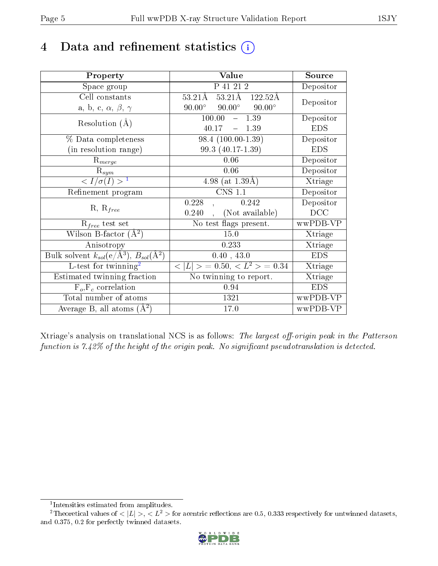# 4 Data and refinement statistics  $(i)$

| Property                                                                                        | Value                                                                | Source     |
|-------------------------------------------------------------------------------------------------|----------------------------------------------------------------------|------------|
| Space group                                                                                     | P 41 21 2                                                            | Depositor  |
| Cell constants                                                                                  | $53.21\text{\AA}$ $\overline{122.52\text{\AA}}$<br>$53.21\text{\AA}$ | Depositor  |
| a, b, c, $\alpha$ , $\beta$ , $\gamma$                                                          | $90.00^\circ$<br>$90.00^\circ$<br>$90.00^\circ$                      |            |
| Resolution $(A)$                                                                                | 100.00<br>1.39<br>$\equiv$                                           | Depositor  |
|                                                                                                 | 40.17<br>$-1.39$                                                     | <b>EDS</b> |
| % Data completeness                                                                             | 98.4 (100.00-1.39)                                                   | Depositor  |
| (in resolution range)                                                                           | 99.3 (40.17-1.39)                                                    | <b>EDS</b> |
| $R_{merge}$                                                                                     | 0.06                                                                 | Depositor  |
| $\mathrm{R}_{sym}$                                                                              | 0.06                                                                 | Depositor  |
| $\langle I/\sigma(I) \rangle^{-1}$                                                              | 4.98 (at $1.39\text{\AA}$ )                                          | Xtriage    |
| Refinement program                                                                              | <b>CNS 1.1</b>                                                       | Depositor  |
| $R, R_{free}$                                                                                   | 0.228<br>0.242                                                       | Depositor  |
|                                                                                                 | (Not available)<br>0.240                                             | DCC        |
| $R_{free}$ test set                                                                             | No test flags present.                                               | wwPDB-VP   |
| Wilson B-factor $(A^2)$                                                                         | 15.0                                                                 | Xtriage    |
| Anisotropy                                                                                      | 0.233                                                                | Xtriage    |
| $\overline{\mathrm{Bulk}}$ solvent $k_{sol}(\mathrm{e}/\mathrm{A}^3)$ , $B_{sol}(\mathrm{A}^2)$ | 0.40, 43.0                                                           | <b>EDS</b> |
| L-test for $\mathrm{twinning}^2$                                                                | $< L >$ = 0.50, $< L^2 >$ = 0.34                                     | Xtriage    |
| Estimated twinning fraction                                                                     | No twinning to report.                                               | Xtriage    |
| $F_o, F_c$ correlation                                                                          | 0.94                                                                 | <b>EDS</b> |
| Total number of atoms                                                                           | 1321                                                                 | wwPDB-VP   |
| Average B, all atoms $(A^2)$                                                                    | 17.0                                                                 | wwPDB-VP   |

Xtriage's analysis on translational NCS is as follows: The largest off-origin peak in the Patterson function is  $7.42\%$  of the height of the origin peak. No significant pseudotranslation is detected.

<sup>&</sup>lt;sup>2</sup>Theoretical values of  $\langle |L| \rangle$ ,  $\langle L^2 \rangle$  for acentric reflections are 0.5, 0.333 respectively for untwinned datasets, and 0.375, 0.2 for perfectly twinned datasets.



<span id="page-4-1"></span><span id="page-4-0"></span><sup>1</sup> Intensities estimated from amplitudes.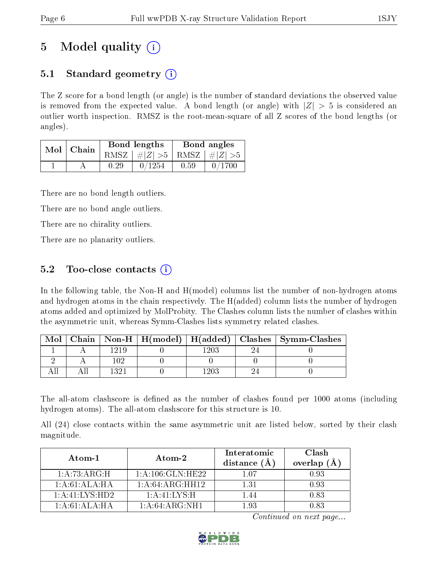# 5 Model quality  $(i)$

## 5.1 Standard geometry  $(i)$

The Z score for a bond length (or angle) is the number of standard deviations the observed value is removed from the expected value. A bond length (or angle) with  $|Z| > 5$  is considered an outlier worth inspection. RMSZ is the root-mean-square of all Z scores of the bond lengths (or angles).

| Mol   Chain |      | Bond lengths                    | Bond angles |        |  |
|-------------|------|---------------------------------|-------------|--------|--|
|             |      | RMSZ $ #Z  > 5$ RMSZ $ #Z  > 5$ |             |        |  |
|             | 0.29 | 0/1254                          | 0.59        | 0/1700 |  |

There are no bond length outliers.

There are no bond angle outliers.

There are no chirality outliers.

There are no planarity outliers.

## 5.2 Too-close contacts  $\overline{()}$

In the following table, the Non-H and H(model) columns list the number of non-hydrogen atoms and hydrogen atoms in the chain respectively. The H(added) column lists the number of hydrogen atoms added and optimized by MolProbity. The Clashes column lists the number of clashes within the asymmetric unit, whereas Symm-Clashes lists symmetry related clashes.

| Mol |     |  | Chain   Non-H   H(model)   H(added)   Clashes   Symm-Clashes |
|-----|-----|--|--------------------------------------------------------------|
|     |     |  |                                                              |
|     | ι∩۶ |  |                                                              |
|     |     |  |                                                              |

The all-atom clashscore is defined as the number of clashes found per 1000 atoms (including hydrogen atoms). The all-atom clashscore for this structure is 10.

All (24) close contacts within the same asymmetric unit are listed below, sorted by their clash magnitude.

| Atom-1           | Atom-2             | Interatomic<br>distance $(\AA)$ | Clash<br>overlap $(\AA)$ |  |
|------------------|--------------------|---------------------------------|--------------------------|--|
| 1: A:73:ARG:H    | 1: A:106: GLN:HE22 | 107                             | 0.93                     |  |
| 1: A:61: ALA:HA  | 1: A:64:ARG:HH12   | 1.31                            | 0.93                     |  |
| 1:A:41:LYS:HD2   | 1: A: 41: LYS:H    | 1.44                            | 0.83                     |  |
| 1: A:61: ALA:H A | 1: A:64: ARG:NH1   | 193                             | በ ጸ3                     |  |

Continued on next page...

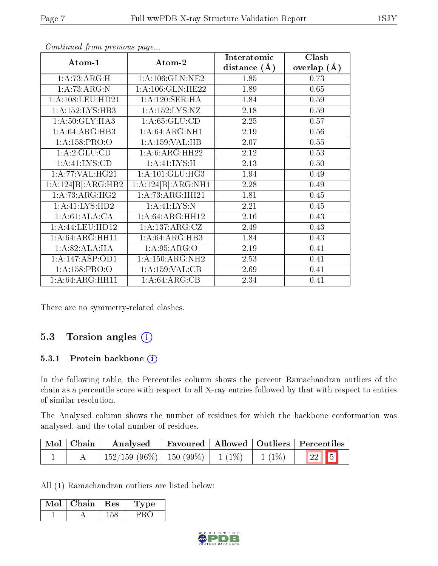| Atom-1                            | Atom-2               | Interatomic    | Clash              |
|-----------------------------------|----------------------|----------------|--------------------|
|                                   |                      | distance $(A)$ | $(\AA)$<br>overlap |
| 1: A:73:ARG:H                     | 1: A: 106: GLN: NE2  | 1.85           | 0.73               |
| 1:A:73:ARG:N                      | 1: A: 106: GLN: HE22 | 1.89           | 0.65               |
| 1: A: 108: LEU: HD21              | 1: A:120: SER: HA    | 1.84           | 0.59               |
| 1:A:152:LYS:HB3                   | 1:A:152:LYS:NZ       | 2.18           | 0.59               |
| 1: A:50: GLY: HA3                 | 1: A:65: GLU:CD      | 2.25           | 0.57               |
| 1: A:64: ARG:HB3                  | 1:A:64:ARG:NH1       | 2.19           | 0.56               |
| 1: A: 158: PRO: O                 | 1:A:159:VAL:HB       | 2.07           | 0.55               |
| 1:A:2:GLU:CD                      | 1: A:6: ARG:HH22     | 2.12           | 0.53               |
| 1: A: 41: LYS: CD                 | 1: A: 41: LYS: H     | 2.13           | 0.50               |
| 1: A:77: VAL:HG21                 | 1: A: 101: GLU: HG3  | 1.94           | 0.49               |
| $1:A:124[B]\overline{:\!ARG:HB2}$ | 1:A:124[B]:ARG:NH1   | 2.28           | 0.49               |
| 1: A: 73: ARG: HG2                | 1: A:73: ARG: HH21   | 1.81           | 0.45               |
| 1:A:41:LYS:HD2                    | 1: A: 41: LYS: N     | 2.21           | 0.45               |
| 1:A:61:ALA:CA                     | 1:A:64:ARG:HH12      | 2.16           | 0.43               |
| 1:A:44:LEU:HD12                   | 1:A:137:ARG:CZ       | 2.49           | 0.43               |
| 1:A:64:ARG:HH11                   | 1: A:64: ARG:HB3     | 1.84           | 0.43               |
| 1:A:82:ALA:HA                     | 1: A:95: ARG:O       | 2.19           | 0.41               |
| 1:A:147:ASP:OD1                   | 1: A:150:ARG:NH2     | 2.53           | 0.41               |
| 1: A: 158: PRO: O                 | 1:A:159:VAL:CB       | 2.69           | 0.41               |
| 1:A:64:ARG:HH11                   | 1: A:64: ARG:CB      | 2.34           | 0.41               |

Continued from previous page...

There are no symmetry-related clashes.

## 5.3 Torsion angles (i)

#### 5.3.1 Protein backbone (i)

In the following table, the Percentiles column shows the percent Ramachandran outliers of the chain as a percentile score with respect to all X-ray entries followed by that with respect to entries of similar resolution.

The Analysed column shows the number of residues for which the backbone conformation was analysed, and the total number of residues.

| $\mid$ Mol $\mid$ Chain | Analysed                                |  |                      | Favoured   Allowed   Outliers   Percentiles |
|-------------------------|-----------------------------------------|--|----------------------|---------------------------------------------|
|                         | $152/159$ (96\%)   150 (99\%)   1 (1\%) |  | $\frac{1}{1(1\%)}$ 1 | $\boxed{22}$ 5                              |

All (1) Ramachandran outliers are listed below:

| Mol | Chain | Res | vpe |
|-----|-------|-----|-----|
|     |       |     |     |

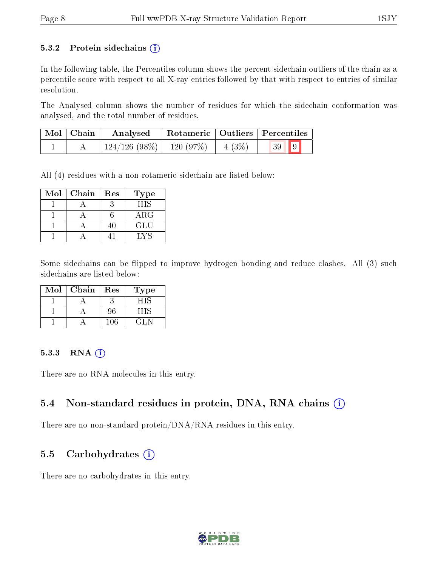#### 5.3.2 Protein sidechains  $(i)$

In the following table, the Percentiles column shows the percent sidechain outliers of the chain as a percentile score with respect to all X-ray entries followed by that with respect to entries of similar resolution.

The Analysed column shows the number of residues for which the sidechain conformation was analysed, and the total number of residues.

| $\mid$ Mol $\mid$ Chain $\mid$ | Analysed                                | Rotameric   Outliers   Percentiles |  |
|--------------------------------|-----------------------------------------|------------------------------------|--|
|                                | $124/126$ (98\%)   120 (97\%)   4 (3\%) |                                    |  |

All (4) residues with a non-rotameric sidechain are listed below:

| Mol | Chain | $\operatorname{Res}% \left( \mathcal{N}\right) \equiv\operatorname{Res}(\mathcal{N}_{0})\cap\mathcal{N}_{1}$ | Type       |
|-----|-------|--------------------------------------------------------------------------------------------------------------|------------|
|     |       |                                                                                                              | HIS        |
|     |       |                                                                                                              | $\rm{ARG}$ |
|     |       | 111                                                                                                          | GLU        |
|     |       |                                                                                                              | ⊑ v ⊂      |

Some sidechains can be flipped to improve hydrogen bonding and reduce clashes. All (3) such sidechains are listed below:

| Mol | Chain | $\operatorname{Res}% \left( \mathcal{N}\right) \equiv\operatorname{Res}(\mathcal{N}_{0})\left( \mathcal{N}_{0}\right) ^{\ast}\left( \mathcal{N}_{0}\right)$ | Type  |
|-----|-------|-------------------------------------------------------------------------------------------------------------------------------------------------------------|-------|
|     |       |                                                                                                                                                             |       |
|     |       | 96                                                                                                                                                          | - 11  |
|     |       | 106                                                                                                                                                         | -21 - |

#### 5.3.3 RNA (i)

There are no RNA molecules in this entry.

#### 5.4 Non-standard residues in protein, DNA, RNA chains (i)

There are no non-standard protein/DNA/RNA residues in this entry.

#### 5.5 Carbohydrates  $(i)$

There are no carbohydrates in this entry.

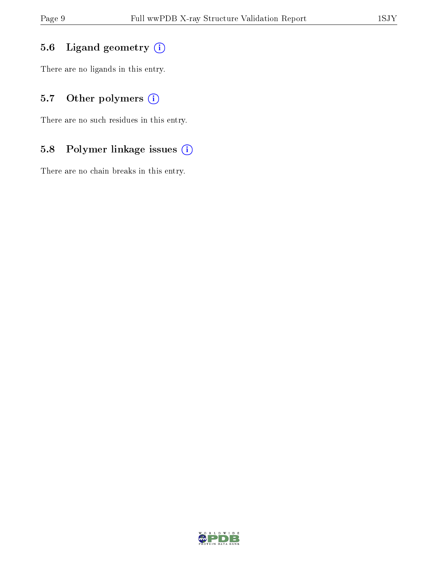## 5.6 Ligand geometry (i)

There are no ligands in this entry.

## 5.7 [O](https://www.wwpdb.org/validation/2017/XrayValidationReportHelp#nonstandard_residues_and_ligands)ther polymers (i)

There are no such residues in this entry.

## 5.8 Polymer linkage issues (i)

There are no chain breaks in this entry.

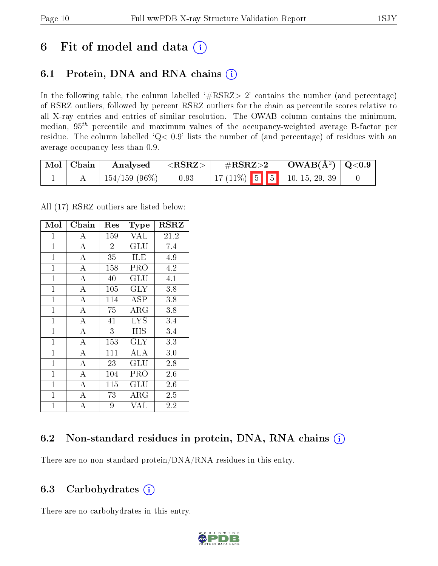# 6 Fit of model and data  $(i)$

## 6.1 Protein, DNA and RNA chains  $(i)$

In the following table, the column labelled  $#RSRZ> 2'$  contains the number (and percentage) of RSRZ outliers, followed by percent RSRZ outliers for the chain as percentile scores relative to all X-ray entries and entries of similar resolution. The OWAB column contains the minimum, median,  $95<sup>th</sup>$  percentile and maximum values of the occupancy-weighted average B-factor per residue. The column labelled ' $Q< 0.9$ ' lists the number of (and percentage) of residues with an average occupancy less than 0.9.

| $\mid$ Mol $\mid$ Chain | $\boldsymbol{\mathrm{Analysed}}$ | $  <$ RSRZ $>$ | $\rm \#RSRZ{>}2$                  | $\vert$ OWAB( $\rm{\AA}^{2}$ ) $\vert$ Q<0.9 |  |
|-------------------------|----------------------------------|----------------|-----------------------------------|----------------------------------------------|--|
|                         | $^+$ 154/159 (96%) $\vert$       | 0.93           | 17 (11%)   5   5   10, 15, 29, 39 |                                              |  |

All (17) RSRZ outliers are listed below:

| Mol            | Chain              | Res            | Type                 | <b>RSRZ</b> |
|----------------|--------------------|----------------|----------------------|-------------|
| $\mathbf 1$    | А                  | 159            | VAL                  | 21.2        |
| $\mathbf{1}$   | A                  | $\overline{2}$ | $\operatorname{GLU}$ | 7.4         |
| $\overline{1}$ | A                  | 35             | ILE                  | 4.9         |
| $\mathbf{1}$   | А                  | 158            | PRO                  | 4.2         |
| $\mathbf{1}$   | A                  | 40             | $\operatorname{GLU}$ | 4.1         |
| $\mathbf{1}$   | $\overline{A}$     | 105            | $\rm GLY$            | 3.8         |
| $\mathbf{1}$   | $\overline{A}$     | 114            | ASP                  | 3.8         |
| $\mathbf{1}$   | $\overline{\rm A}$ | 75             | ${\rm ARG}$          | 3.8         |
| $\mathbf{1}$   | $\overline{A}$     | 41             | <b>LYS</b>           | 3.4         |
| $\mathbf{1}$   | $\overline{\rm A}$ | 3              | HIS                  | 3.4         |
| $\mathbf{1}$   | $\overline{A}$     | 153            | <b>GLY</b>           | 3.3         |
| $\mathbf{1}$   | $\overline{\rm A}$ | 111            | ALA                  | 3.0         |
| $\overline{1}$ | A                  | 23             | GLU                  | 2.8         |
| $\overline{1}$ | $\overline{A}$     | 104            | PRO                  | 2.6         |
| $\overline{1}$ | A                  | 115            | GLU                  | 2.6         |
| $\mathbf{1}$   | $\bf{A}$           | 73             | $\rm{ARG}$           | 2.5         |
| $\mathbf{1}$   | $\overline{A}$     | 9              | VAL                  | 2.2         |

## 6.2 Non-standard residues in protein, DNA, RNA chains (i)

There are no non-standard protein/DNA/RNA residues in this entry.

### 6.3 Carbohydrates  $(i)$

There are no carbohydrates in this entry.